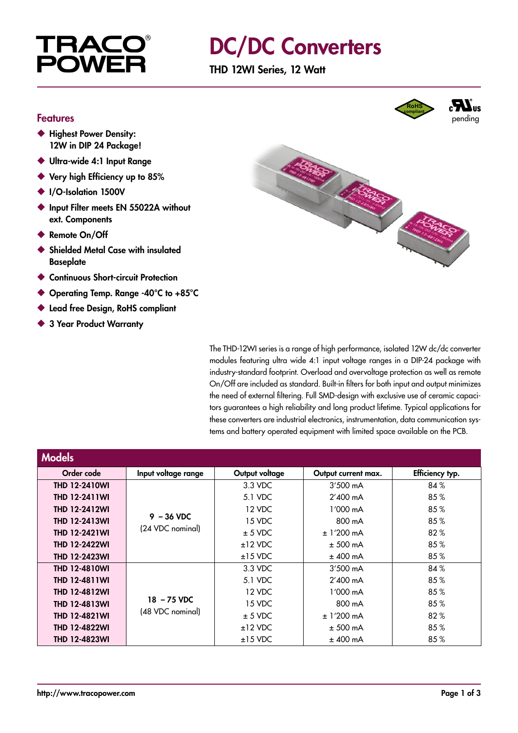

## DC/DC Converters

THD 12WI Series, 12 Watt

#### Features

- ◆ Highest Power Density: 12W in DIP 24 Package!
- ◆ Ultra-wide 4:1 Input Range
- ◆ Very high Efficiency up to 85%
- ◆ I/O-Isolation 1500V
- ◆ Input Filter meets EN 55022A without ext. Components
- ◆ Remote On/Off
- ◆ Shielded Metal Case with insulated **Baseplate**
- ◆ Continuous Short-circuit Protection
- ◆ Operating Temp. Range -40°C to +85°C
- ◆ Lead free Design, RoHS compliant
- ◆ 3 Year Product Warranty



The THD-12WI series is a range of high performance, isolated 12W dc/dc converter modules featuring ultra wide 4:1 input voltage ranges in a DIP-24 package with industry-standard footprint. Overload and overvoltage protection as well as remote On/Off are included as standard. Built-in filters for both input and output minimizes the need of external filtering. Full SMD-design with exclusive use of ceramic capacitors guarantees a high reliability and long product lifetime. Typical applications for these converters are industrial electronics, instrumentation, data communication systems and battery operated equipment with limited space available on the PCB.

| <b>Models</b>        |                                  |                |                     |                 |
|----------------------|----------------------------------|----------------|---------------------|-----------------|
| Order code           | Input voltage range              | Output voltage | Output current max. | Efficiency typ. |
| <b>THD 12-2410WI</b> | $9 - 36$ VDC<br>(24 VDC nominal) | 3.3 VDC        | $3'500 \text{ mA}$  | 84%             |
| <b>THD 12-2411WI</b> |                                  | 5.1 VDC        | $2'400$ mA          | 85%             |
| <b>THD 12-2412WI</b> |                                  | 12 VDC         | $1'000 \text{ mA}$  | 85%             |
| <b>THD 12-2413WI</b> |                                  | 15 VDC         | 800 mA              | 85%             |
| <b>THD 12-2421WI</b> |                                  | $± 5$ VDC      | $± 1'200$ mA        | 82%             |
| <b>THD 12-2422WI</b> |                                  | $±12$ VDC      | $± 500$ mA          | 85%             |
| <b>THD 12-2423WI</b> |                                  | $±15$ VDC      | $±$ 400 mA          | 85%             |
| <b>THD 12-4810WI</b> | 18 - 75 VDC<br>(48 VDC nominal)  | 3.3 VDC        | $3'500 \text{ mA}$  | 84%             |
| <b>THD 12-4811WI</b> |                                  | 5.1 VDC        | $2'400$ mA          | 85%             |
| <b>THD 12-4812WI</b> |                                  | 12 VDC         | $1'000 \text{ mA}$  | 85%             |
| <b>THD 12-4813WI</b> |                                  | 15 VDC         | 800 mA              | 85%             |
| <b>THD 12-4821WI</b> |                                  | $± 5$ VDC      | $± 1'200$ mA        | 82%             |
| <b>THD 12-4822WI</b> |                                  | $±12$ VDC      | $± 500$ mA          | 85%             |
| THD 12-4823WI        |                                  | $±15$ VDC      | $±$ 400 mA          | 85%             |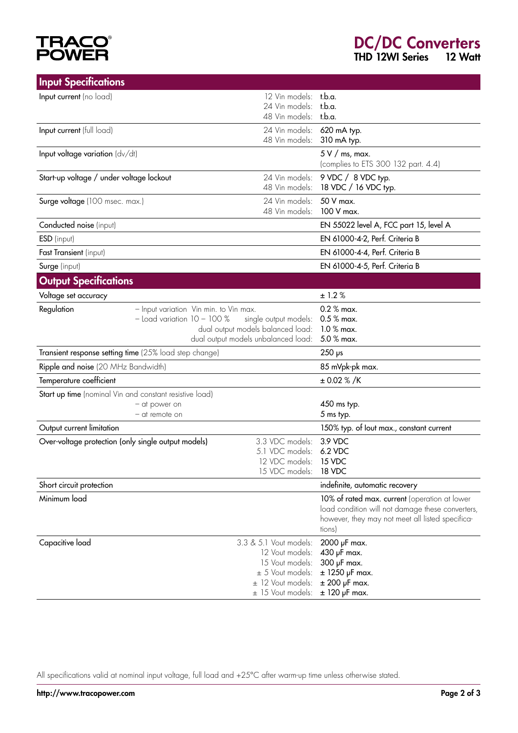# **TRACO®**<br>POWER

| <b>Input Specifications</b>                                              |                                 |                                                            |                                                                                                   |
|--------------------------------------------------------------------------|---------------------------------|------------------------------------------------------------|---------------------------------------------------------------------------------------------------|
| Input current (no load)                                                  |                                 | 12 Vin models: t.b.a.                                      |                                                                                                   |
|                                                                          |                                 | 24 Vin models:                                             | t.b.a.                                                                                            |
|                                                                          |                                 | 48 Vin models: t.b.a.                                      |                                                                                                   |
| Input current (full load)                                                |                                 | 24 Vin models: 620 mA typ.                                 |                                                                                                   |
|                                                                          |                                 | 48 Vin models:                                             | 310 mA typ.                                                                                       |
| Input voltage variation $(dv/dt)$                                        |                                 |                                                            | $5 V /$ ms, max.                                                                                  |
|                                                                          |                                 |                                                            | (complies to ETS 300 132 part. 4.4)                                                               |
| Start-up voltage / under voltage lockout                                 |                                 | 24 Vin models:                                             | 9 VDC / 8 VDC typ.                                                                                |
|                                                                          |                                 | 48 Vin models:                                             | 18 VDC / 16 VDC typ.                                                                              |
| Surge voltage (100 msec. max.)                                           |                                 | 24 Vin models:<br>48 Vin models:                           | 50 V max.<br>100 V max.                                                                           |
| Conducted noise (input)                                                  |                                 |                                                            | EN 55022 level A, FCC part 15, level A                                                            |
|                                                                          |                                 |                                                            | EN 61000-4-2, Perf. Criteria B                                                                    |
| ESD (input)<br>Fast Transient (input)                                    |                                 |                                                            | EN 61000-4-4, Perf. Criteria B                                                                    |
|                                                                          |                                 |                                                            | EN 61000-4-5, Perf. Criteria B                                                                    |
| Surge (input)                                                            |                                 |                                                            |                                                                                                   |
| <b>Output Specifications</b>                                             |                                 |                                                            |                                                                                                   |
| Voltage set accuracy                                                     |                                 |                                                            | ± 1.2 %                                                                                           |
| Regulation                                                               |                                 | - Input variation Vin min. to Vin max.                     | $0.2 %$ max.                                                                                      |
|                                                                          | $-$ Load variation $10 - 100 %$ | single output models:<br>dual output models balanced load: | $0.5%$ max.<br>$1.0 %$ max.                                                                       |
|                                                                          |                                 | dual output models unbalanced load:                        | 5.0 % max.                                                                                        |
| Transient response setting time (25% load step change)                   |                                 |                                                            | $250$ ps                                                                                          |
| Ripple and noise (20 MHz Bandwidth)                                      |                                 |                                                            | 85 mVpk-pk max.                                                                                   |
| Temperature coefficient                                                  |                                 |                                                            | $\pm$ 0.02 % /K                                                                                   |
|                                                                          |                                 |                                                            |                                                                                                   |
| Start up time (nominal Vin and constant resistive load)<br>- at power on |                                 |                                                            | 450 ms typ.                                                                                       |
|                                                                          | - at remote on                  |                                                            | 5 ms typ.                                                                                         |
| Output current limitation                                                |                                 |                                                            | 150% typ. of lout max., constant current                                                          |
| Over-voltage protection (only single output models)                      |                                 | 3.3 VDC models:                                            | 3.9 VDC                                                                                           |
|                                                                          |                                 | 5.1 VDC models:                                            | 6.2 VDC                                                                                           |
|                                                                          |                                 | 12 VDC models: 15 VDC                                      |                                                                                                   |
|                                                                          |                                 | 15 VDC models:                                             | 18 VDC                                                                                            |
| Short circuit protection                                                 |                                 |                                                            | indefinite, automatic recovery                                                                    |
| Minimum load                                                             |                                 |                                                            | 10% of rated max. current (operation at lower<br>load condition will not damage these converters, |
|                                                                          |                                 |                                                            | however, they may not meet all listed specifica-                                                  |
|                                                                          |                                 |                                                            | tions)                                                                                            |
| Capacitive load                                                          |                                 | 3.3 & 5.1 Vout models:                                     | 2000 µF max.                                                                                      |
|                                                                          |                                 | 12 Vout models:                                            | 430 µF max.                                                                                       |
|                                                                          |                                 | 15 Vout models:                                            | 300 µF max.                                                                                       |
|                                                                          |                                 | $\pm$ 5 Vout models:                                       | $±$ 1250 µF max.                                                                                  |
|                                                                          |                                 | $\pm$ 12 Vout models:                                      | $±$ 200 µF max.                                                                                   |
|                                                                          |                                 | $\pm$ 15 Vout models:                                      | $±$ 120 µF max.                                                                                   |

All specifications valid at nominal input voltage, full load and +25°C after warm-up time unless otherwise stated.